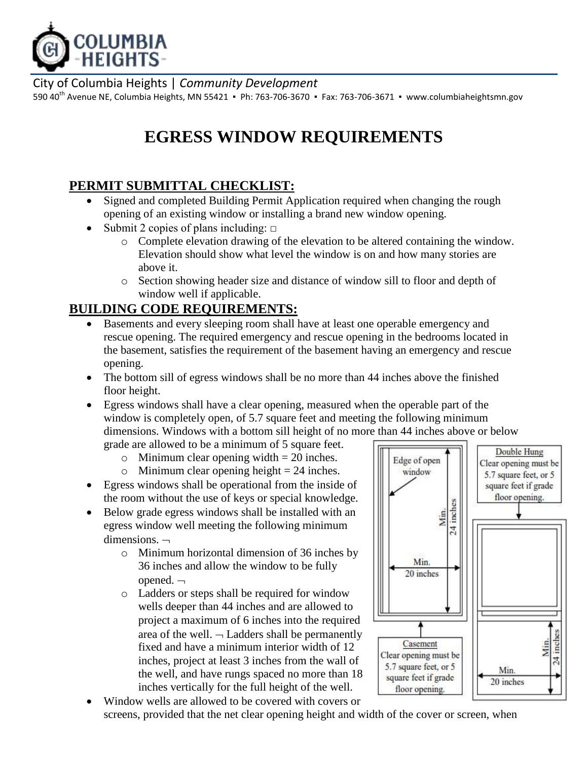

City of Columbia Heights | *Community Development*

590 40<sup>th</sup> Avenue NE, Columbia Heights, MN 55421 • Ph: 763-706-3670 • Fax: 763-706-3671 • [www.columbiaheightsmn.gov](http://www.columbiaheightsmn.gov/)

# **EGRESS WINDOW REQUIREMENTS**

## **PERMIT SUBMITTAL CHECKLIST:**

- Signed and completed Building Permit Application required when changing the rough opening of an existing window or installing a brand new window opening.
- Submit 2 copies of plans including:  $\Box$ 
	- o Complete elevation drawing of the elevation to be altered containing the window. Elevation should show what level the window is on and how many stories are above it.
	- o Section showing header size and distance of window sill to floor and depth of window well if applicable.

## **BUILDING CODE REQUIREMENTS:**

- Basements and every sleeping room shall have at least one operable emergency and rescue opening. The required emergency and rescue opening in the bedrooms located in the basement, satisfies the requirement of the basement having an emergency and rescue opening.
- The bottom sill of egress windows shall be no more than 44 inches above the finished floor height.
- Egress windows shall have a clear opening, measured when the operable part of the window is completely open, of 5.7 square feet and meeting the following minimum dimensions. Windows with a bottom sill height of no more than 44 inches above or below

grade are allowed to be a minimum of 5 square feet.

- $\circ$  Minimum clear opening width = 20 inches.
- $\circ$  Minimum clear opening height = 24 inches.
- Egress windows shall be operational from the inside of the room without the use of keys or special knowledge.
- Below grade egress windows shall be installed with an egress window well meeting the following minimum dimensions.  $\neg$ 
	- o Minimum horizontal dimension of 36 inches by 36 inches and allow the window to be fully opened. $\lnot$
	- o Ladders or steps shall be required for window wells deeper than 44 inches and are allowed to project a maximum of 6 inches into the required area of the well.  $\neg$  Ladders shall be permanently fixed and have a minimum interior width of 12 inches, project at least 3 inches from the wall of the well, and have rungs spaced no more than 18 inches vertically for the full height of the well.



 Window wells are allowed to be covered with covers or screens, provided that the net clear opening height and width of the cover or screen, when